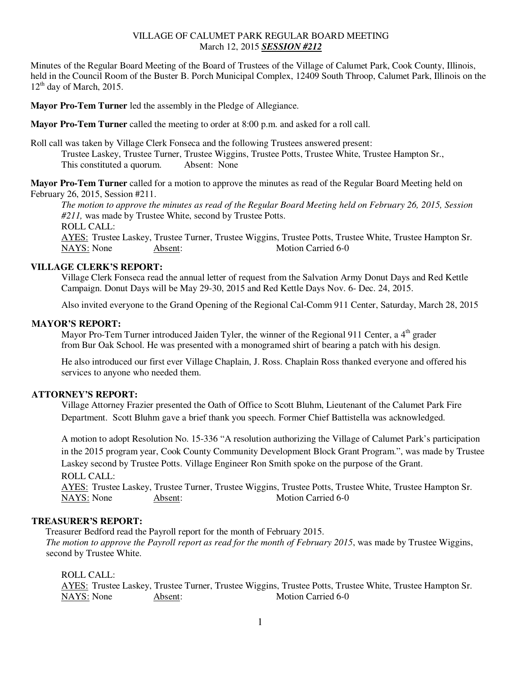## VILLAGE OF CALUMET PARK REGULAR BOARD MEETING March 12, 2015 *SESSION #212*

Minutes of the Regular Board Meeting of the Board of Trustees of the Village of Calumet Park, Cook County, Illinois, held in the Council Room of the Buster B. Porch Municipal Complex, 12409 South Throop, Calumet Park, Illinois on the  $12<sup>th</sup>$  day of March, 2015.

**Mayor Pro-Tem Turner** led the assembly in the Pledge of Allegiance.

**Mayor Pro-Tem Turner** called the meeting to order at 8:00 p.m. and asked for a roll call.

Roll call was taken by Village Clerk Fonseca and the following Trustees answered present: Trustee Laskey, Trustee Turner, Trustee Wiggins, Trustee Potts, Trustee White, Trustee Hampton Sr., This constituted a quorum. Absent: None

**Mayor Pro-Tem Turner** called for a motion to approve the minutes as read of the Regular Board Meeting held on February 26, 2015, Session #211.

*The motion to approve the minutes as read of the Regular Board Meeting held on February 26, 2015, Session #211,* was made by Trustee White, second by Trustee Potts. ROLL CALL: AYES: Trustee Laskey, Trustee Turner, Trustee Wiggins, Trustee Potts, Trustee White, Trustee Hampton Sr. NAYS: None Absent: Motion Carried 6-0

# **VILLAGE CLERK'S REPORT:**

Village Clerk Fonseca read the annual letter of request from the Salvation Army Donut Days and Red Kettle Campaign. Donut Days will be May 29-30, 2015 and Red Kettle Days Nov. 6- Dec. 24, 2015.

Also invited everyone to the Grand Opening of the Regional Cal-Comm 911 Center, Saturday, March 28, 2015

### **MAYOR'S REPORT:**

Mayor Pro-Tem Turner introduced Jaiden Tyler, the winner of the Regional 911 Center, a  $4<sup>th</sup>$  grader from Bur Oak School. He was presented with a monogramed shirt of bearing a patch with his design.

 He also introduced our first ever Village Chaplain, J. Ross. Chaplain Ross thanked everyone and offered his services to anyone who needed them.

#### **ATTORNEY'S REPORT:**

Village Attorney Frazier presented the Oath of Office to Scott Bluhm, Lieutenant of the Calumet Park Fire Department. Scott Bluhm gave a brief thank you speech. Former Chief Battistella was acknowledged.

A motion to adopt Resolution No. 15-336 "A resolution authorizing the Village of Calumet Park's participation in the 2015 program year, Cook County Community Development Block Grant Program.", was made by Trustee Laskey second by Trustee Potts. Village Engineer Ron Smith spoke on the purpose of the Grant. ROLL CALL:

 AYES: Trustee Laskey, Trustee Turner, Trustee Wiggins, Trustee Potts, Trustee White, Trustee Hampton Sr. NAYS: None Absent: Motion Carried 6-0

### **TREASURER'S REPORT:**

 Treasurer Bedford read the Payroll report for the month of February 2015. *The motion to approve the Payroll report as read for the month of February 2015*, was made by Trustee Wiggins, second by Trustee White.

#### ROLL CALL:

AYES: Trustee Laskey, Trustee Turner, Trustee Wiggins, Trustee Potts, Trustee White, Trustee Hampton Sr. NAYS: None Absent: Motion Carried 6-0